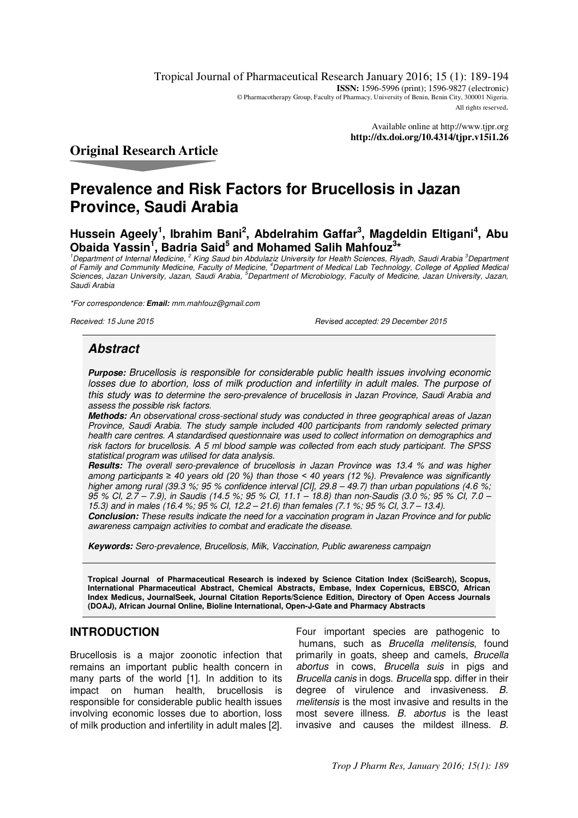Tropical Journal of Pharmaceutical Research January 2016; 15 (1): 189-194 **ISSN:** 1596-5996 (print); 1596-9827 (electronic) © Pharmacotherapy Group, Faculty of Pharmacy, University of Benin, Benin City, 300001 Nigeria. All rights reserved.

> Available online at <http://www.tjpr.org> **<http://dx.doi.org/10.4314/tjpr.v15i1.26>**

# **Original Research Article**

# **Prevalence and Risk Factors for Brucellosis in Jazan Province, Saudi Arabia**

**Hussein Ageely<sup>1</sup> , Ibrahim Bani<sup>2</sup> , Abdelrahim Gaffar<sup>3</sup> , Magdeldin Eltigani<sup>4</sup> , Abu Obaida Yassin<sup>1</sup> , Badria Said<sup>5</sup> and Mohamed Salih Mahfouz<sup>3</sup> \*** 

*<sup>1</sup>Department of Internal Medicine, <sup>2</sup> King Saud bin Abdulaziz University for Health Sciences, Riyadh, Saudi Arabia <sup>3</sup>Department of Family and Community Medicine, Faculty of Medicine, <sup>4</sup>Department of Medical Lab Technology, College of Applied Medical Sciences, Jazan University, Jazan, Saudi Arabia, <sup>5</sup>Department of Microbiology, Faculty of Medicine, Jazan University, Jazan, Saudi Arabia* 

*\*For correspondence:* **Email:** *[mm.mahfouz@gmail.com](mailto:mm.mahfouz@gmail.com)*

*Received: 15 June 2015 Revised accepted: 29 December 2015*

# **Abstract**

**Purpose:** *Brucellosis is responsible for considerable public health issues involving economic*  losses due to abortion, loss of milk production and infertility in adult males. The purpose of *this study was to determine the sero-prevalence of brucellosis in Jazan Province, Saudi Arabia and assess the possible risk factors.* 

**Methods:** *An observational cross-sectional study was conducted in three geographical areas of Jazan Province, Saudi Arabia. The study sample included 400 participants from randomly selected primary health care centres. A standardised questionnaire was used to collect information on demographics and risk factors for brucellosis. A 5 ml blood sample was collected from each study participant. The SPSS statistical program was utilised for data analysis.* 

**Results:** *The overall sero-prevalence of brucellosis in Jazan Province was 13.4 % and was higher among participants ≥ 40 years old (20 %) than those < 40 years (12 %). Prevalence was significantly higher among rural (39.3 %; 95 % confidence interval [CI], 29.8 – 49.7) than urban populations (4.6 %; 95 % CI, 2.7 – 7.9), in Saudis (14.5 %; 95 % CI, 11.1 – 18.8) than non-Saudis (3.0 %; 95 % CI, 7.0 – 15.3) and in males (16.4 %; 95 % CI, 12.2 – 21.6) than females (7.1 %; 95 % CI, 3.7 – 13.4).* 

**Conclusion:** *These results indicate the need for a vaccination program in Jazan Province and for public awareness campaign activities to combat and eradicate the disease.* 

**Keywords:** *Sero-prevalence, Brucellosis, Milk, Vaccination, Public awareness campaign* 

**Tropical Journal of Pharmaceutical Research is indexed by Science Citation Index (SciSearch), Scopus, International Pharmaceutical Abstract, Chemical Abstracts, Embase, Index Copernicus, EBSCO, African Index Medicus, JournalSeek, Journal Citation Reports/Science Edition, Directory of Open Access Journals (DOAJ), African Journal Online, Bioline International, Open-J-Gate and Pharmacy Abstracts** 

# **INTRODUCTION**

Brucellosis is a major zoonotic infection that remains an important public health concern in many parts of the world [1]. In addition to its impact on human health, brucellosis is responsible for considerable public health issues involving economic losses due to abortion, loss of milk production and infertility in adult males [2].

Four important species are pathogenic to humans, such as *Brucella melitensis*, found primarily in goats, sheep and camels, *Brucella abortus* in cows, *Brucella suis* in pigs and *Brucella canis* in dogs. *Brucella* spp. differ in their degree of virulence and invasiveness. *B. melitensis* is the most invasive and results in the most severe illness. *B. abortus* is the least invasive and causes the mildest illness. *B.*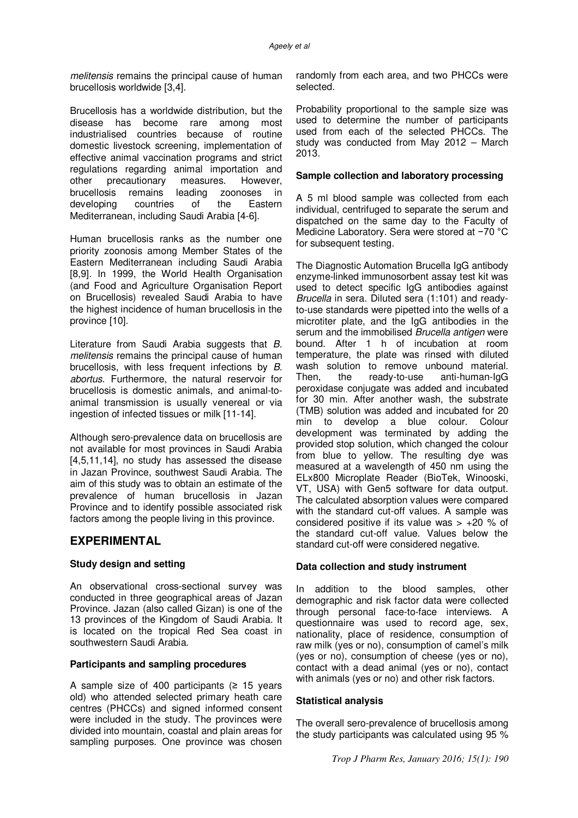*melitensis* remains the principal cause of human brucellosis worldwide [3,4].

Brucellosis has a worldwide distribution, but the disease has become rare among most industrialised countries because of routine domestic livestock screening, implementation of effective animal vaccination programs and strict regulations regarding animal importation and other precautionary measures. However, brucellosis remains leading zoonoses in developing countries of the Eastern Mediterranean, including Saudi Arabia [4-6].

Human brucellosis ranks as the number one priority zoonosis among Member States of the Eastern Mediterranean including Saudi Arabia [8,9]. In 1999, the World Health Organisation (and Food and Agriculture Organisation Report on Brucellosis) revealed Saudi Arabia to have the highest incidence of human brucellosis in the province [10].

Literature from Saudi Arabia suggests that *B. melitensis* remains the principal cause of human brucellosis, with less frequent infections by *B. abortus*. Furthermore, the natural reservoir for brucellosis is domestic animals, and animal-toanimal transmission is usually venereal or via ingestion of infected tissues or milk [11-14].

Although sero-prevalence data on brucellosis are not available for most provinces in Saudi Arabia [4,5,11,14], no study has assessed the disease in Jazan Province, southwest Saudi Arabia. The aim of this study was to obtain an estimate of the prevalence of human brucellosis in Jazan Province and to identify possible associated risk factors among the people living in this province.

# **EXPERIMENTAL**

### **Study design and setting**

An observational cross-sectional survey was conducted in three geographical areas of Jazan Province. Jazan (also called Gizan) is one of the 13 provinces of the Kingdom of Saudi Arabia. It is located on the tropical Red Sea coast in southwestern Saudi Arabia.

#### **Participants and sampling procedures**

A sample size of 400 participants  $(≥ 15$  years old) who attended selected primary heath care centres (PHCCs) and signed informed consent were included in the study. The provinces were divided into mountain, coastal and plain areas for sampling purposes. One province was chosen

randomly from each area, and two PHCCs were selected.

Probability proportional to the sample size was used to determine the number of participants used from each of the selected PHCCs. The study was conducted from May 2012 – March 2013.

#### **Sample collection and laboratory processing**

A 5 ml blood sample was collected from each individual, centrifuged to separate the serum and dispatched on the same day to the Faculty of Medicine Laboratory. Sera were stored at −70 °C for subsequent testing.

The Diagnostic Automation Brucella IgG antibody enzyme-linked immunosorbent assay test kit was used to detect specific IgG antibodies against *Brucella* in sera. Diluted sera (1:101) and readyto-use standards were pipetted into the wells of a microtiter plate, and the IgG antibodies in the serum and the immobilised *Brucella antigen* were bound. After 1 h of incubation at room temperature, the plate was rinsed with diluted wash solution to remove unbound material. Then, the ready-to-use anti-human-IgG peroxidase conjugate was added and incubated for 30 min. After another wash, the substrate (TMB) solution was added and incubated for 20 min to develop a blue colour. Colour development was terminated by adding the provided stop solution, which changed the colour from blue to yellow. The resulting dye was measured at a wavelength of 450 nm using the ELx800 Microplate Reader (BioTek, Winooski, VT, USA) with Gen5 software for data output. The calculated absorption values were compared with the standard cut-off values. A sample was considered positive if its value was  $> +20$  % of the standard cut-off value. Values below the standard cut-off were considered negative.

### **Data collection and study instrument**

In addition to the blood samples, other demographic and risk factor data were collected through personal face-to-face interviews. A questionnaire was used to record age, sex, nationality, place of residence, consumption of raw milk (yes or no), consumption of camel's milk (yes or no), consumption of cheese (yes or no), contact with a dead animal (yes or no), contact with animals (yes or no) and other risk factors.

#### **Statistical analysis**

The overall sero-prevalence of brucellosis among the study participants was calculated using 95 %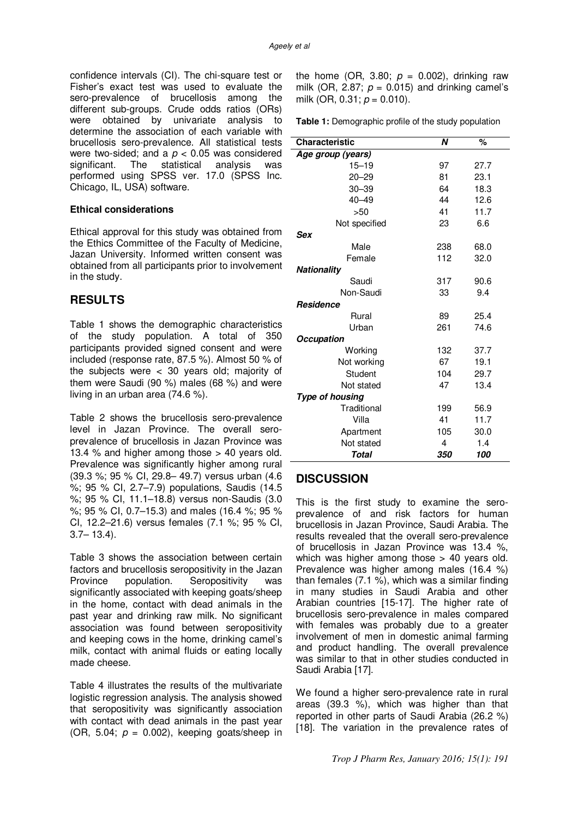confidence intervals (CI). The chi-square test or Fisher's exact test was used to evaluate the sero-prevalence of brucellosis among the different sub-groups. Crude odds ratios (ORs) were obtained by univariate analysis to determine the association of each variable with brucellosis sero-prevalence. All statistical tests were two-sided; and a *p* < 0.05 was considered significant. The statistical analysis was performed using SPSS ver. 17.0 (SPSS Inc. Chicago, IL, USA) software.

#### **Ethical considerations**

Ethical approval for this study was obtained from the Ethics Committee of the Faculty of Medicine, Jazan University. Informed written consent was obtained from all participants prior to involvement in the study.

# **RESULTS**

Table 1 shows the demographic characteristics of the study population. A total of 350 participants provided signed consent and were included (response rate, 87.5 %). Almost 50 % of the subjects were < 30 years old; majority of them were Saudi (90 %) males (68 %) and were living in an urban area (74.6 %).

Table 2 shows the brucellosis sero-prevalence level in Jazan Province. The overall seroprevalence of brucellosis in Jazan Province was 13.4 % and higher among those > 40 years old. Prevalence was significantly higher among rural (39.3 %; 95 % CI, 29.8– 49.7) versus urban (4.6 %; 95 % CI, 2.7–7.9) populations, Saudis (14.5 %; 95 % CI, 11.1–18.8) versus non-Saudis (3.0 %; 95 % CI, 0.7–15.3) and males (16.4 %; 95 % CI, 12.2–21.6) versus females (7.1 %; 95 % CI,  $3.7 - 13.4$ .

Table 3 shows the association between certain factors and brucellosis seropositivity in the Jazan Province population. Seropositivity was significantly associated with keeping goats/sheep in the home, contact with dead animals in the past year and drinking raw milk. No significant association was found between seropositivity and keeping cows in the home, drinking camel's milk, contact with animal fluids or eating locally made cheese.

Table 4 illustrates the results of the multivariate logistic regression analysis. The analysis showed that seropositivity was significantly association with contact with dead animals in the past year (OR, 5.04;  $p = 0.002$ ), keeping goats/sheep in

the home (OR, 3.80;  $p = 0.002$ ), drinking raw milk (OR, 2.87;  $p = 0.015$ ) and drinking camel's milk (OR, 0.31; *p* = 0.010).

**Table 1:** Demographic profile of the study population

| <b>Characteristic</b>  | N   | %    |  |  |
|------------------------|-----|------|--|--|
| Age group (years)      |     |      |  |  |
| $15 - 19$              | 97  | 27.7 |  |  |
| $20 - 29$              | 81  | 23.1 |  |  |
| 30–39                  | 64  | 18.3 |  |  |
| $40 - 49$              | 44  | 12.6 |  |  |
| >50                    | 41  | 11.7 |  |  |
| Not specified          | 23  | 6.6  |  |  |
| Sex                    |     |      |  |  |
| Male                   | 238 | 68.0 |  |  |
| Female                 | 112 | 32.0 |  |  |
| Nationality            |     |      |  |  |
| Saudi                  | 317 | 90.6 |  |  |
| Non-Saudi              | 33  | 9.4  |  |  |
| <b>Residence</b>       |     |      |  |  |
| Rural                  | 89  | 25.4 |  |  |
| Urban                  | 261 | 74.6 |  |  |
| <b>Occupation</b>      |     |      |  |  |
| Working                | 132 | 37.7 |  |  |
| Not working            | 67  | 19.1 |  |  |
| Student                | 104 | 29.7 |  |  |
| Not stated             | 47  | 13.4 |  |  |
| <b>Type of housing</b> |     |      |  |  |
| Traditional            | 199 | 56.9 |  |  |
| Villa                  | 41  | 11.7 |  |  |
| Apartment              | 105 | 30.0 |  |  |
| Not stated             | 4   | 1.4  |  |  |
| Total                  | 350 | 100  |  |  |

# **DISCUSSION**

This is the first study to examine the seroprevalence of and risk factors for human brucellosis in Jazan Province, Saudi Arabia. The results revealed that the overall sero-prevalence of brucellosis in Jazan Province was 13.4 %, which was higher among those > 40 years old. Prevalence was higher among males (16.4 %) than females (7.1 %), which was a similar finding in many studies in Saudi Arabia and other Arabian countries [15-17]. The higher rate of brucellosis sero-prevalence in males compared with females was probably due to a greater involvement of men in domestic animal farming and product handling. The overall prevalence was similar to that in other studies conducted in Saudi Arabia [17].

We found a higher sero-prevalence rate in rural areas (39.3 %), which was higher than that reported in other parts of Saudi Arabia (26.2 %) [18]. The variation in the prevalence rates of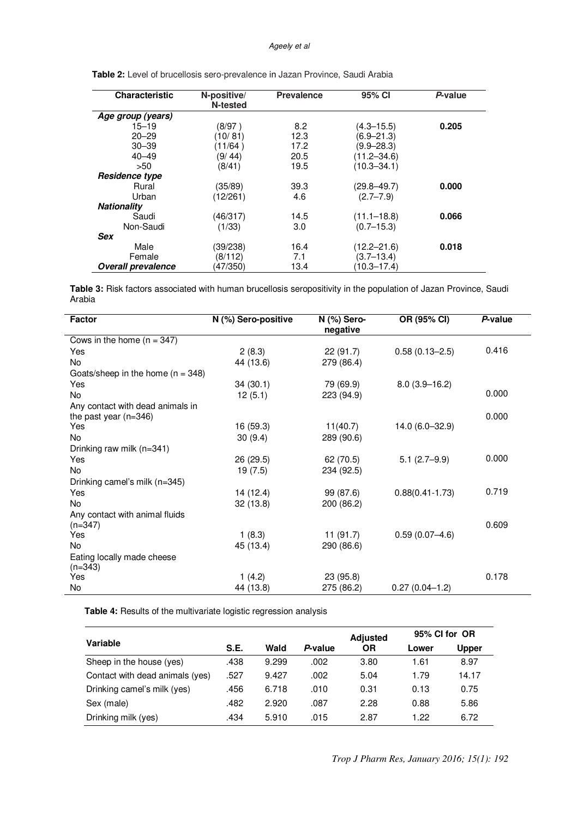#### *Ageely et al*

| <b>Characteristic</b>     | N-positive/<br><b>Prevalence</b><br>N-tested |      | 95% CI          | P-value |  |
|---------------------------|----------------------------------------------|------|-----------------|---------|--|
| Age group (years)         |                                              |      |                 |         |  |
| $15 - 19$                 | (8/97)                                       | 8.2  | $(4.3 - 15.5)$  | 0.205   |  |
| $20 - 29$                 | (10/81)                                      | 12.3 | (6.9–21.3)      |         |  |
| $30 - 39$                 | (11/64)                                      | 17.2 | $(9.9 - 28.3)$  |         |  |
| $40 - 49$                 | (9/44)                                       | 20.5 | $(11.2 - 34.6)$ |         |  |
| >50                       | (8/41)                                       | 19.5 | $(10.3 - 34.1)$ |         |  |
| Residence type            |                                              |      |                 |         |  |
| Rural                     | (35/89)                                      | 39.3 | $(29.8 - 49.7)$ | 0.000   |  |
| Urban                     | (12/261)                                     | 4.6  | $(2.7 - 7.9)$   |         |  |
| <b>Nationality</b>        |                                              |      |                 |         |  |
| Saudi                     | (46/317)                                     | 14.5 | $(11.1 - 18.8)$ | 0.066   |  |
| Non-Saudi                 | (1/33)                                       | 3.0  | $(0.7 - 15.3)$  |         |  |
| Sex                       |                                              |      |                 |         |  |
| Male                      | (39/238)                                     | 16.4 | $(12.2 - 21.6)$ | 0.018   |  |
| Female                    | (8/112)                                      | 7.1  | $(3.7 - 13.4)$  |         |  |
| <b>Overall prevalence</b> | (47/350)                                     | 13.4 | (10.3–17.4)     |         |  |

 **Table 2:** Level of brucellosis sero-prevalence in Jazan Province, Saudi Arabia

**Table 3:** Risk factors associated with human brucellosis seropositivity in the population of Jazan Province, Saudi Arabia

| Factor                                  | N (%) Sero-positive | N (%) Sero- | OR (95% CI)         | P-value |
|-----------------------------------------|---------------------|-------------|---------------------|---------|
| Cows in the home $(n = 347)$            |                     | negative    |                     |         |
|                                         |                     |             |                     |         |
| Yes                                     | 2(8.3)              | 22(91.7)    | $0.58(0.13 - 2.5)$  | 0.416   |
| No                                      | 44 (13.6)           | 279 (86.4)  |                     |         |
| Goats/sheep in the home $(n = 348)$     |                     |             |                     |         |
| Yes                                     | 34(30.1)            | 79 (69.9)   | $8.0(3.9 - 16.2)$   |         |
| No.                                     | 12(5.1)             | 223 (94.9)  |                     | 0.000   |
| Any contact with dead animals in        |                     |             |                     |         |
| the past year $(n=346)$                 |                     |             |                     | 0.000   |
| Yes                                     | 16 (59.3)           | 11(40.7)    | 14.0 (6.0-32.9)     |         |
| No.                                     | 30(9.4)             | 289 (90.6)  |                     |         |
| Drinking raw milk (n=341)               |                     |             |                     |         |
| Yes                                     | 26 (29.5)           | 62 (70.5)   | $5.1(2.7-9.9)$      | 0.000   |
| No                                      | 19 (7.5)            | 234 (92.5)  |                     |         |
| Drinking camel's milk (n=345)           |                     |             |                     |         |
| Yes                                     | 14 (12.4)           | 99 (87.6)   | $0.88(0.41 - 1.73)$ | 0.719   |
| No.                                     | 32(13.8)            | 200 (86.2)  |                     |         |
| Any contact with animal fluids          |                     |             |                     |         |
| $(n=347)$                               |                     |             |                     | 0.609   |
| Yes                                     | 1(8.3)              | 11(91.7)    | $0.59(0.07 - 4.6)$  |         |
| No                                      | 45 (13.4)           | 290 (86.6)  |                     |         |
| Eating locally made cheese<br>$(n=343)$ |                     |             |                     |         |
| Yes                                     | 1(4.2)              | 23 (95.8)   |                     | 0.178   |
| No                                      | 44 (13.8)           | 275 (86.2)  | $0.27(0.04-1.2)$    |         |

 **Table 4:** Results of the multivariate logistic regression analysis

| Variable                        |      |       |         | <b>Adjusted</b> | 95% CI for OR |       |
|---------------------------------|------|-------|---------|-----------------|---------------|-------|
|                                 | S.E. | Wald  | P-value | ΟR              | Lower         | Upper |
| Sheep in the house (yes)        | .438 | 9.299 | .002    | 3.80            | 1.61          | 8.97  |
| Contact with dead animals (yes) | .527 | 9.427 | .002    | 5.04            | 1.79          | 14.17 |
| Drinking camel's milk (yes)     | .456 | 6.718 | .010    | 0.31            | 0.13          | 0.75  |
| Sex (male)                      | .482 | 2.920 | .087    | 2.28            | 0.88          | 5.86  |
| Drinking milk (yes)             | .434 | 5.910 | .015    | 2.87            | 1.22          | 6.72  |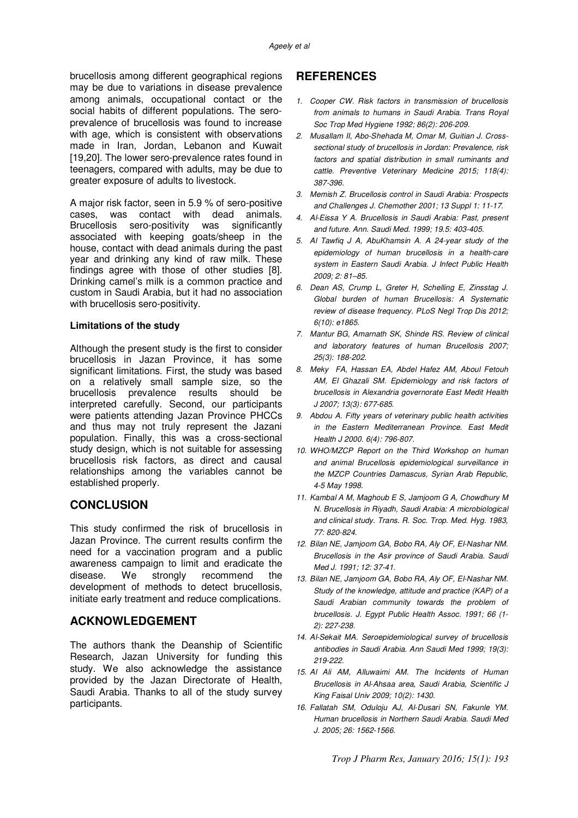brucellosis among different geographical regions may be due to variations in disease prevalence among animals, occupational contact or the social habits of different populations. The seroprevalence of brucellosis was found to increase with age, which is consistent with observations made in Iran, Jordan, Lebanon and Kuwait [19,20]. The lower sero-prevalence rates found in teenagers, compared with adults, may be due to greater exposure of adults to livestock.

A major risk factor, seen in 5.9 % of sero-positive cases, was contact with dead animals. Brucellosis sero-positivity was significantly associated with keeping goats/sheep in the house, contact with dead animals during the past year and drinking any kind of raw milk. These findings agree with those of other studies [8]. Drinking camel's milk is a common practice and custom in Saudi Arabia, but it had no association with brucellosis sero-positivity.

#### **Limitations of the study**

Although the present study is the first to consider brucellosis in Jazan Province, it has some significant limitations. First, the study was based on a relatively small sample size, so the brucellosis prevalence results should be interpreted carefully. Second, our participants were patients attending Jazan Province PHCCs and thus may not truly represent the Jazani population. Finally, this was a cross-sectional study design, which is not suitable for assessing brucellosis risk factors, as direct and causal relationships among the variables cannot be established properly.

### **CONCLUSION**

This study confirmed the risk of brucellosis in Jazan Province. The current results confirm the need for a vaccination program and a public awareness campaign to limit and eradicate the disease. We strongly recommend the development of methods to detect brucellosis, initiate early treatment and reduce complications.

# **ACKNOWLEDGEMENT**

The authors thank the Deanship of Scientific Research, Jazan University for funding this study. We also acknowledge the assistance provided by the Jazan Directorate of Health, Saudi Arabia. Thanks to all of the study survey participants.

# **REFERENCES**

- *1. Cooper CW. Risk factors in transmission of brucellosis from animals to humans in Saudi Arabia. Trans Royal Soc Trop Med Hygiene 1992; 86(2): 206-209.*
- *2. Musallam II, Abo-Shehada M, Omar M, Guitian J. Crosssectional study of brucellosis in Jordan: Prevalence, risk factors and spatial distribution in small ruminants and cattle. Preventive Veterinary Medicine 2015; 118(4): 387-396 .*
- *3. Memish Z. Brucellosis control in Saudi Arabia: Prospects and Challenges J. Chemother 2001; 13 Suppl 1: 11-17.*
- *4. Al-Eissa Y A. Brucellosis in Saudi Arabia: Past, present and future. Ann. Saudi Med. 1999; 19.5: 403-405.*
- *5. Al Tawfiq J A, AbuKhamsin A. A 24-year study of the epidemiology of human brucellosis in a health-care system in Eastern Saudi Arabia. J Infect Public Health 2009; 2: 81–85.*
- *6. Dean AS, Crump L, Greter H, Schelling E, Zinsstag J. Global burden of human Brucellosis: A Systematic review of disease frequency. PLoS Negl Trop Dis 2012; 6(10): e1865.*
- *7. Mantur BG, Amarnath SK, Shinde RS. Review of clinical and laboratory features of human Brucellosis 2007; 25(3): 188-202.*
- *8. Meky FA, Hassan EA, Abdel Hafez AM, Aboul Fetouh AM, El Ghazali SM. Epidemiology and risk factors of brucellosis in Alexandria governorate East Medit Health J 2007; 13(3): 677-685.*
- *9. Abdou A. Fifty years of veterinary public health activities in the Eastern Mediterranean Province. East Medit Health J 2000. 6(4): 796-807.*
- *10. WHO/MZCP Report on the Third Workshop on human and animal Brucellosis epidemiological surveillance in the MZCP Countries Damascus, Syrian Arab Republic, 4-5 May 1998.*
- *11. Kambal A M, Maghoub E S, Jamjoom G A, Chowdhury M N. Brucellosis in Riyadh, Saudi Arabia: A microbiological and clinical study. Trans. R. Soc. Trop. Med. Hyg. 1983, 77: 820-824.*
- *12. Bilan NE, Jamjoom GA, Bobo RA, Aly OF, El-Nashar NM. Brucellosis in the Asir province of Saudi Arabia. Saudi Med J. 1991; 12: 37-41.*
- *13. Bilan NE, Jamjoom GA, Bobo RA, Aly OF, El-Nashar NM. Study of the knowledge, attitude and practice (KAP) of a Saudi Arabian community towards the problem of brucellosis. J. Egypt Public Health Assoc. 1991; 66 (1- 2): 227-238.*
- *14. Al-Sekait MA. Seroepidemiological survey of brucellosis antibodies in Saudi Arabia. Ann Saudi Med 1999; 19(3): 219-222.*
- *15. Al Ali AM, Alluwaimi AM. The Incidents of Human Brucellosis in Al-Ahsaa area, Saudi Arabia, Scientific J King Faisal Univ 2009; 10(2): 1430.*
- *16. Fallatah SM, Oduloju AJ, Al-Dusari SN, Fakunle YM. Human brucellosis in Northern Saudi Arabia. Saudi Med J. 2005; 26: 1562-1566.*